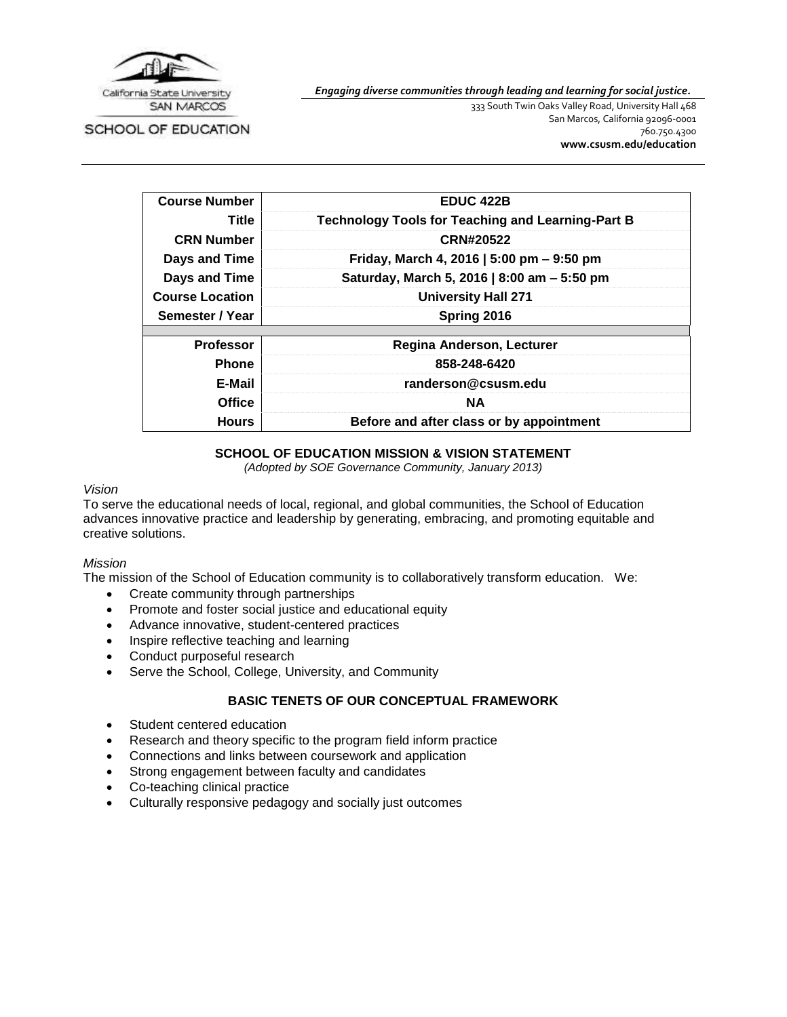

SCHOOL OF EDUCATION

*Engaging diverse communities through leading and learning for social justice.*

333 South Twin Oaks Valley Road, University Hall 468 San Marcos, California 92096-0001 760.750.4300 **[www.csusm.edu/education](http://www.csusm.edu/education)**

| <b>Course Number</b>   | <b>EDUC 422B</b>                                         |
|------------------------|----------------------------------------------------------|
| <b>Title</b>           | <b>Technology Tools for Teaching and Learning-Part B</b> |
| <b>CRN Number</b>      | <b>CRN#20522</b>                                         |
| Days and Time          | Friday, March 4, 2016   5:00 pm - 9:50 pm                |
| Days and Time          | Saturday, March 5, 2016   8:00 am - 5:50 pm              |
| <b>Course Location</b> | <b>University Hall 271</b>                               |
| Semester / Year        | Spring 2016                                              |
|                        |                                                          |
| <b>Professor</b>       | Regina Anderson, Lecturer                                |
| <b>Phone</b>           | 858-248-6420                                             |
| E-Mail                 | randerson@csusm.edu                                      |
| <b>Office</b>          | NA.                                                      |
| <b>Hours</b>           | Before and after class or by appointment                 |

#### **SCHOOL OF EDUCATION MISSION & VISION STATEMENT**

*(Adopted by SOE Governance Community, January 2013)*

#### *Vision*

To serve the educational needs of local, regional, and global communities, the School of Education advances innovative practice and leadership by generating, embracing, and promoting equitable and creative solutions.

#### *Mission*

The mission of the School of Education community is to collaboratively transform education. We:

- Create community through partnerships
- Promote and foster social justice and educational equity
- Advance innovative, student-centered practices
- Inspire reflective teaching and learning
- Conduct purposeful research
- Serve the School, College, University, and Community

#### **BASIC TENETS OF OUR CONCEPTUAL FRAMEWORK**

- Student centered education
- Research and theory specific to the program field inform practice
- Connections and links between coursework and application
- Strong engagement between faculty and candidates
- Co-teaching clinical practice
- Culturally responsive pedagogy and socially just outcomes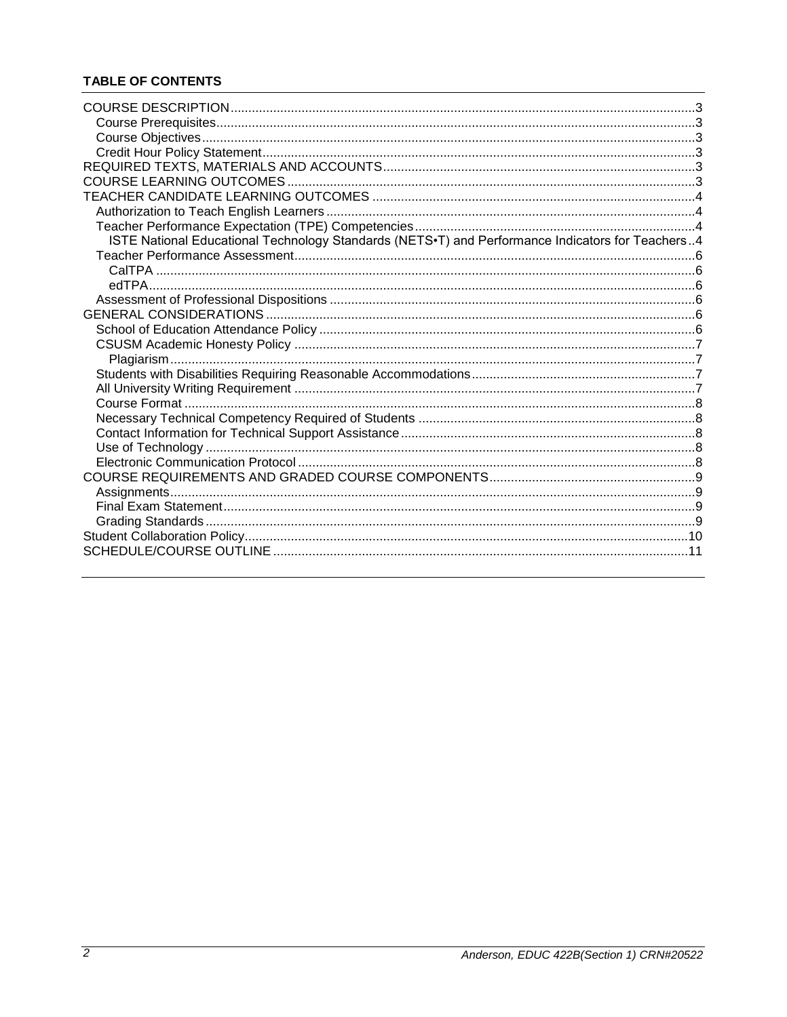# **TABLE OF CONTENTS**

| ISTE National Educational Technology Standards (NETS.T) and Performance Indicators for Teachers4 |  |
|--------------------------------------------------------------------------------------------------|--|
|                                                                                                  |  |
|                                                                                                  |  |
|                                                                                                  |  |
|                                                                                                  |  |
|                                                                                                  |  |
|                                                                                                  |  |
|                                                                                                  |  |
|                                                                                                  |  |
|                                                                                                  |  |
|                                                                                                  |  |
|                                                                                                  |  |
|                                                                                                  |  |
|                                                                                                  |  |
|                                                                                                  |  |
|                                                                                                  |  |
|                                                                                                  |  |
|                                                                                                  |  |
|                                                                                                  |  |
|                                                                                                  |  |
|                                                                                                  |  |
|                                                                                                  |  |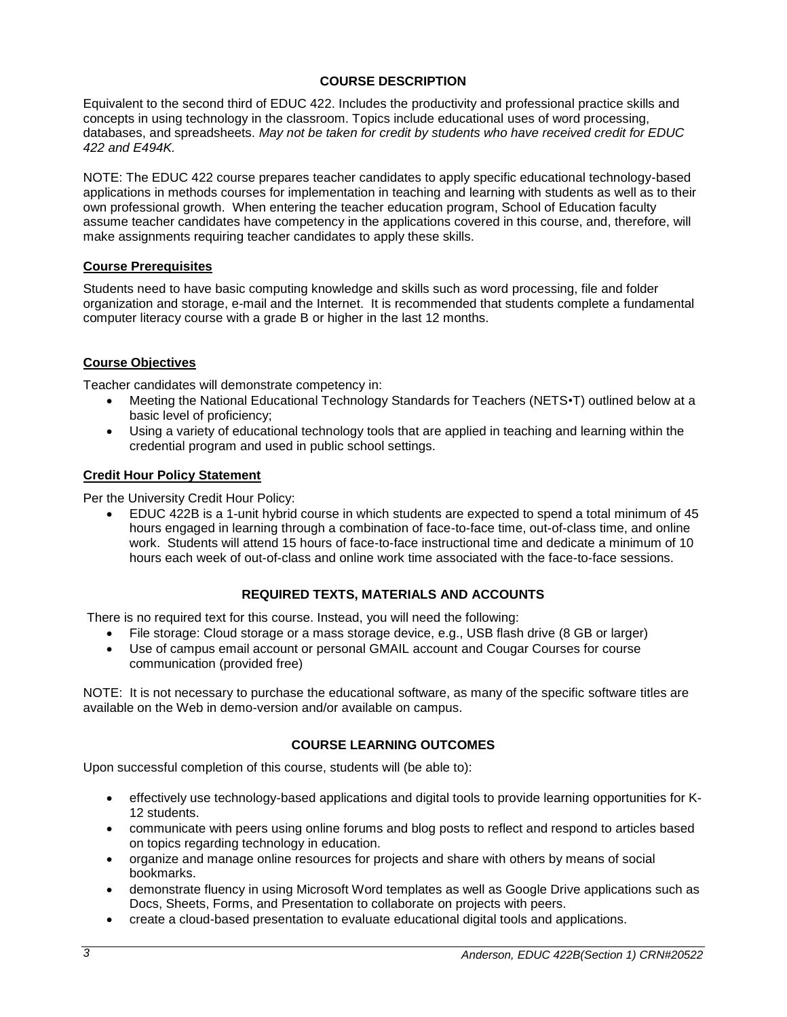# **COURSE DESCRIPTION**

<span id="page-2-0"></span>Equivalent to the second third of EDUC 422. Includes the productivity and professional practice skills and concepts in using technology in the classroom. Topics include educational uses of word processing, databases, and spreadsheets. *May not be taken for credit by students who have received credit for EDUC 422 and E494K.*

NOTE: The EDUC 422 course prepares teacher candidates to apply specific educational technology-based applications in methods courses for implementation in teaching and learning with students as well as to their own professional growth. When entering the teacher education program, School of Education faculty assume teacher candidates have competency in the applications covered in this course, and, therefore, will make assignments requiring teacher candidates to apply these skills.

#### <span id="page-2-1"></span>**Course Prerequisites**

Students need to have basic computing knowledge and skills such as word processing, file and folder organization and storage, e-mail and the Internet. It is recommended that students complete a fundamental computer literacy course with a grade B or higher in the last 12 months.

#### <span id="page-2-2"></span>**Course Objectives**

Teacher candidates will demonstrate competency in:

- Meeting the National Educational Technology Standards for Teachers (NETS•T) outlined below at a basic level of proficiency;
- Using a variety of educational technology tools that are applied in teaching and learning within the credential program and used in public school settings.

#### <span id="page-2-3"></span>**Credit Hour Policy Statement**

Per the University Credit Hour Policy:

 EDUC 422B is a 1-unit hybrid course in which students are expected to spend a total minimum of 45 hours engaged in learning through a combination of face-to-face time, out-of-class time, and online work. Students will attend 15 hours of face-to-face instructional time and dedicate a minimum of 10 hours each week of out-of-class and online work time associated with the face-to-face sessions.

# **REQUIRED TEXTS, MATERIALS AND ACCOUNTS**

<span id="page-2-4"></span>There is no required text for this course. Instead, you will need the following:

- File storage: Cloud storage or a mass storage device, e.g., USB flash drive (8 GB or larger)
- Use of campus email account or personal GMAIL account and Cougar Courses for course communication (provided free)

NOTE: It is not necessary to purchase the educational software, as many of the specific software titles are available on the Web in demo-version and/or available on campus.

### **COURSE LEARNING OUTCOMES**

<span id="page-2-5"></span>Upon successful completion of this course, students will (be able to):

- effectively use technology-based applications and digital tools to provide learning opportunities for K-12 students.
- communicate with peers using online forums and blog posts to reflect and respond to articles based on topics regarding technology in education.
- organize and manage online resources for projects and share with others by means of social bookmarks.
- demonstrate fluency in using Microsoft Word templates as well as Google Drive applications such as Docs, Sheets, Forms, and Presentation to collaborate on projects with peers.
- create a cloud-based presentation to evaluate educational digital tools and applications.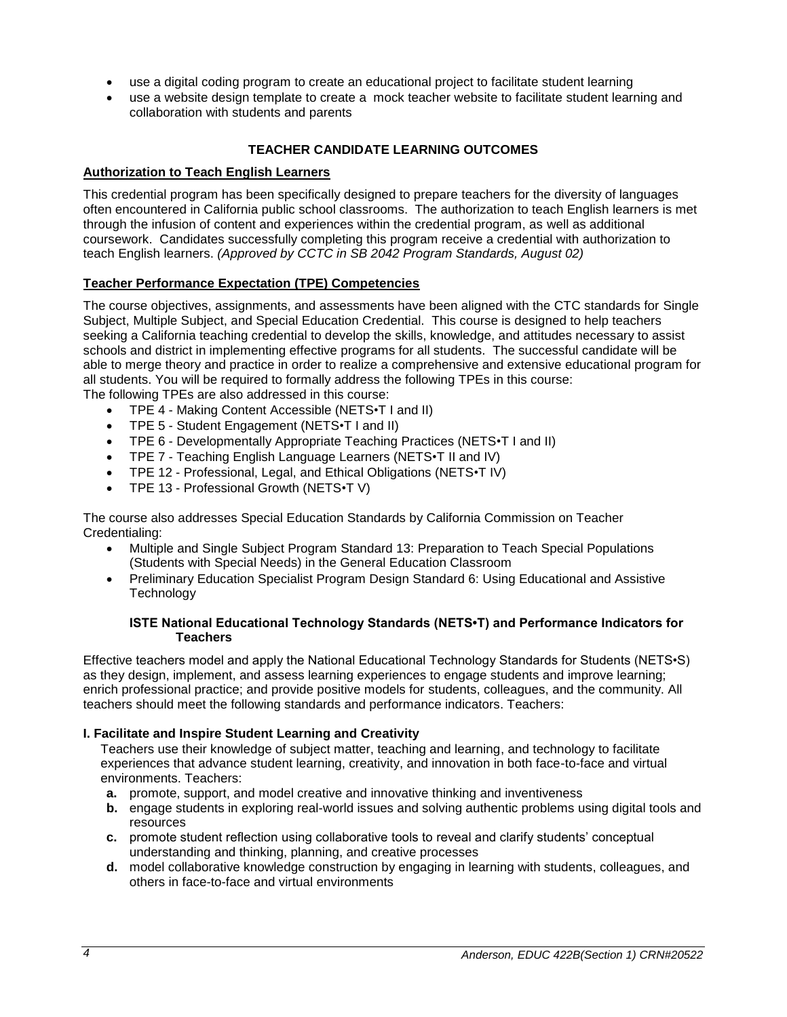- use a digital coding program to create an educational project to facilitate student learning
- use a website design template to create a mock teacher website to facilitate student learning and collaboration with students and parents

# **TEACHER CANDIDATE LEARNING OUTCOMES**

#### <span id="page-3-1"></span><span id="page-3-0"></span>**Authorization to Teach English Learners**

This credential program has been specifically designed to prepare teachers for the diversity of languages often encountered in California public school classrooms. The authorization to teach English learners is met through the infusion of content and experiences within the credential program, as well as additional coursework. Candidates successfully completing this program receive a credential with authorization to teach English learners. *(Approved by CCTC in SB 2042 Program Standards, August 02)*

#### <span id="page-3-2"></span>**Teacher Performance Expectation (TPE) Competencies**

The course objectives, assignments, and assessments have been aligned with the CTC standards for Single Subject, Multiple Subject, and Special Education Credential. This course is designed to help teachers seeking a California teaching credential to develop the skills, knowledge, and attitudes necessary to assist schools and district in implementing effective programs for all students. The successful candidate will be able to merge theory and practice in order to realize a comprehensive and extensive educational program for all students. You will be required to formally address the following TPEs in this course: The following TPEs are also addressed in this course:

- TPE 4 Making Content Accessible (NETS•T I and II)
- TPE 5 Student Engagement (NETS T I and II)
- TPE 6 Developmentally Appropriate Teaching Practices (NETS•T I and II)
- TPE 7 Teaching English Language Learners (NETS•T II and IV)
- TPE 12 Professional, Legal, and Ethical Obligations (NETS•T IV)
- TPE 13 Professional Growth (NETS•T V)

The course also addresses Special Education Standards by California Commission on Teacher Credentialing:

- Multiple and Single Subject Program Standard 13: Preparation to Teach Special Populations (Students with Special Needs) in the General Education Classroom
- Preliminary Education Specialist Program Design Standard 6: Using Educational and Assistive **Technology**

#### **ISTE National Educational Technology Standards (NETS•T) and Performance Indicators for Teachers**

<span id="page-3-3"></span>Effective teachers model and apply the National Educational Technology Standards for Students (NETS•S) as they design, implement, and assess learning experiences to engage students and improve learning; enrich professional practice; and provide positive models for students, colleagues, and the community. All teachers should meet the following standards and performance indicators. Teachers:

#### **I. Facilitate and Inspire Student Learning and Creativity**

Teachers use their knowledge of subject matter, teaching and learning, and technology to facilitate experiences that advance student learning, creativity, and innovation in both face-to-face and virtual environments. Teachers:

- **a.** promote, support, and model creative and innovative thinking and inventiveness
- **b.** engage students in exploring real-world issues and solving authentic problems using digital tools and resources
- **c.** promote student reflection using collaborative tools to reveal and clarify students' conceptual understanding and thinking, planning, and creative processes
- **d.** model collaborative knowledge construction by engaging in learning with students, colleagues, and others in face-to-face and virtual environments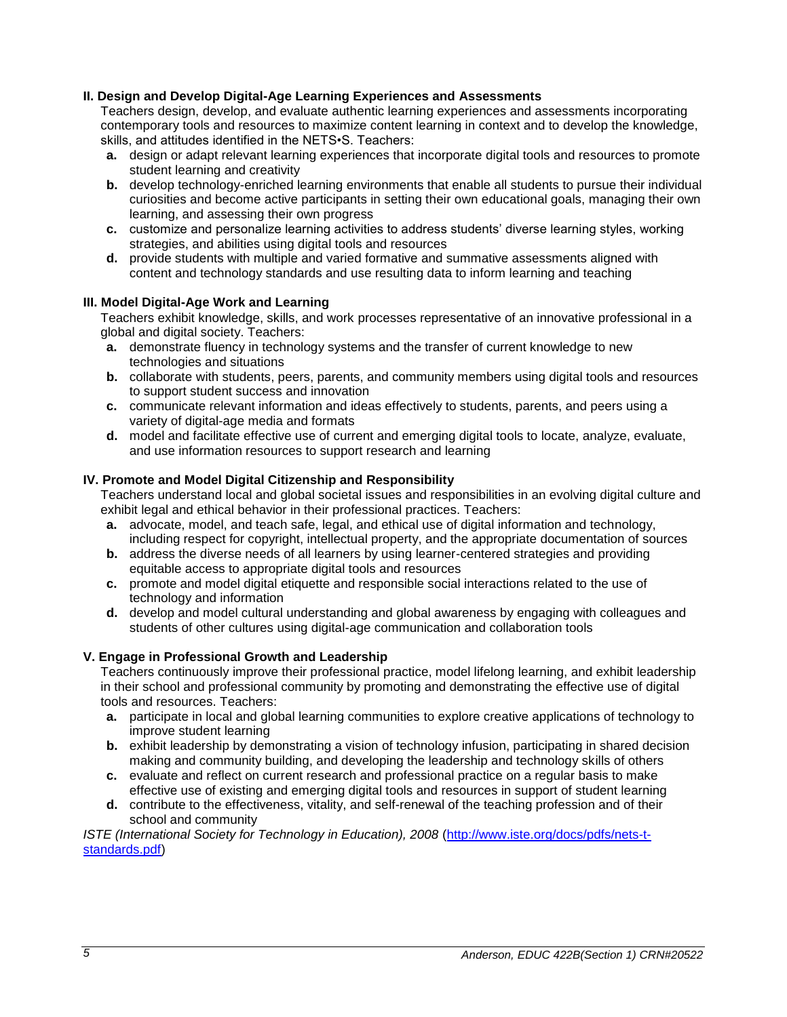# **II. Design and Develop Digital-Age Learning Experiences and Assessments**

Teachers design, develop, and evaluate authentic learning experiences and assessments incorporating contemporary tools and resources to maximize content learning in context and to develop the knowledge, skills, and attitudes identified in the NETS•S. Teachers:

- **a.** design or adapt relevant learning experiences that incorporate digital tools and resources to promote student learning and creativity
- **b.** develop technology-enriched learning environments that enable all students to pursue their individual curiosities and become active participants in setting their own educational goals, managing their own learning, and assessing their own progress
- **c.** customize and personalize learning activities to address students' diverse learning styles, working strategies, and abilities using digital tools and resources
- **d.** provide students with multiple and varied formative and summative assessments aligned with content and technology standards and use resulting data to inform learning and teaching

# **III. Model Digital-Age Work and Learning**

Teachers exhibit knowledge, skills, and work processes representative of an innovative professional in a global and digital society. Teachers:

- **a.** demonstrate fluency in technology systems and the transfer of current knowledge to new technologies and situations
- **b.** collaborate with students, peers, parents, and community members using digital tools and resources to support student success and innovation
- **c.** communicate relevant information and ideas effectively to students, parents, and peers using a variety of digital-age media and formats
- **d.** model and facilitate effective use of current and emerging digital tools to locate, analyze, evaluate, and use information resources to support research and learning

# **IV. Promote and Model Digital Citizenship and Responsibility**

Teachers understand local and global societal issues and responsibilities in an evolving digital culture and exhibit legal and ethical behavior in their professional practices. Teachers:

- **a.** advocate, model, and teach safe, legal, and ethical use of digital information and technology, including respect for copyright, intellectual property, and the appropriate documentation of sources
- **b.** address the diverse needs of all learners by using learner-centered strategies and providing equitable access to appropriate digital tools and resources
- **c.** promote and model digital etiquette and responsible social interactions related to the use of technology and information
- **d.** develop and model cultural understanding and global awareness by engaging with colleagues and students of other cultures using digital-age communication and collaboration tools

#### **V. Engage in Professional Growth and Leadership**

Teachers continuously improve their professional practice, model lifelong learning, and exhibit leadership in their school and professional community by promoting and demonstrating the effective use of digital tools and resources. Teachers:

- **a.** participate in local and global learning communities to explore creative applications of technology to improve student learning
- **b.** exhibit leadership by demonstrating a vision of technology infusion, participating in shared decision making and community building, and developing the leadership and technology skills of others
- **c.** evaluate and reflect on current research and professional practice on a regular basis to make effective use of existing and emerging digital tools and resources in support of student learning
- **d.** contribute to the effectiveness, vitality, and self-renewal of the teaching profession and of their school and community

<span id="page-4-0"></span>*ISTE (International Society for Technology in Education), 2008* [\(http://www.iste.org/docs/pdfs/nets-t](http://www.iste.org/docs/pdfs/nets-t-standards.pdf)[standards.pdf\)](http://www.iste.org/docs/pdfs/nets-t-standards.pdf)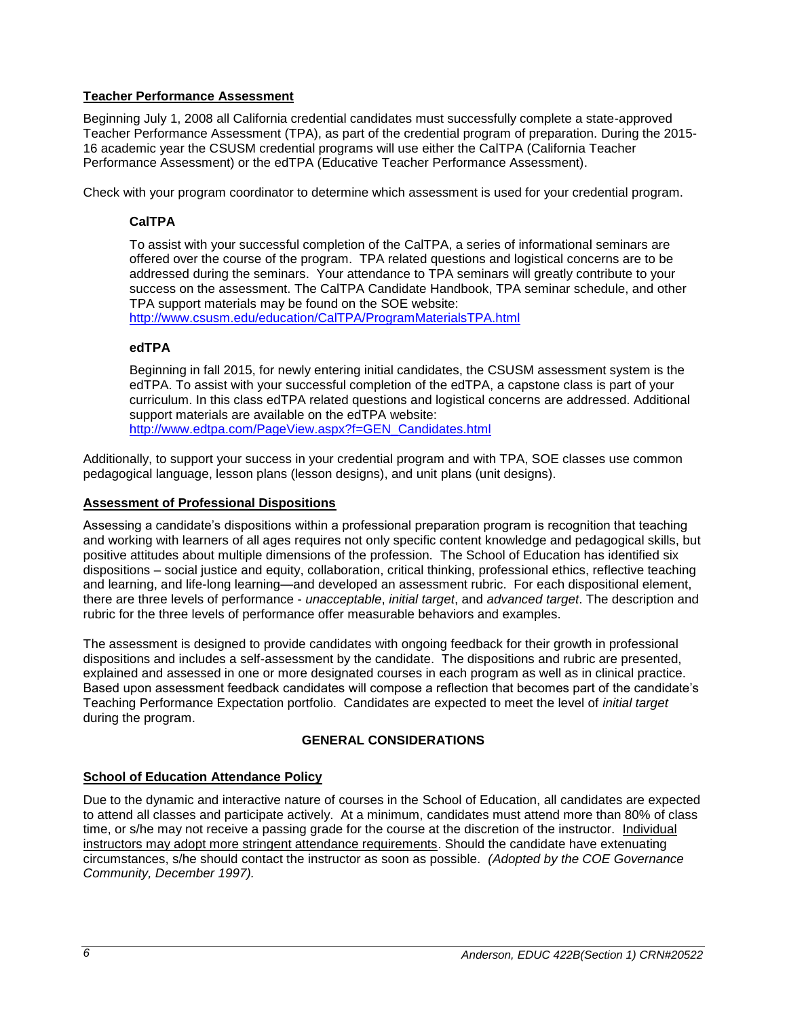# **Teacher Performance Assessment**

Beginning July 1, 2008 all California credential candidates must successfully complete a state-approved Teacher Performance Assessment (TPA), as part of the credential program of preparation. During the 2015- 16 academic year the CSUSM credential programs will use either the CalTPA (California Teacher Performance Assessment) or the edTPA (Educative Teacher Performance Assessment).

<span id="page-5-0"></span>Check with your program coordinator to determine which assessment is used for your credential program.

# **CalTPA**

To assist with your successful completion of the CalTPA, a series of informational seminars are offered over the course of the program. TPA related questions and logistical concerns are to be addressed during the seminars. Your attendance to TPA seminars will greatly contribute to your success on the assessment. The CalTPA Candidate Handbook, TPA seminar schedule, and other TPA support materials may be found on the SOE website:

<http://www.csusm.edu/education/CalTPA/ProgramMaterialsTPA.html>

#### <span id="page-5-1"></span>**edTPA**

Beginning in fall 2015, for newly entering initial candidates, the CSUSM assessment system is the edTPA. To assist with your successful completion of the edTPA, a capstone class is part of your curriculum. In this class edTPA related questions and logistical concerns are addressed. Additional support materials are available on the edTPA website: [http://www.edtpa.com/PageView.aspx?f=GEN\\_Candidates.html](http://www.edtpa.com/PageView.aspx?f=GEN_Candidates.html)

Additionally, to support your success in your credential program and with TPA, SOE classes use common pedagogical language, lesson plans (lesson designs), and unit plans (unit designs).

## <span id="page-5-2"></span>**Assessment of Professional Dispositions**

Assessing a candidate's dispositions within a professional preparation program is recognition that teaching and working with learners of all ages requires not only specific content knowledge and pedagogical skills, but positive attitudes about multiple dimensions of the profession. The School of Education has identified six dispositions – social justice and equity, collaboration, critical thinking, professional ethics, reflective teaching and learning, and life-long learning—and developed an assessment rubric. For each dispositional element, there are three levels of performance - *unacceptable*, *initial target*, and *advanced target*. The description and rubric for the three levels of performance offer measurable behaviors and examples.

The assessment is designed to provide candidates with ongoing feedback for their growth in professional dispositions and includes a self-assessment by the candidate. The dispositions and rubric are presented, explained and assessed in one or more designated courses in each program as well as in clinical practice. Based upon assessment feedback candidates will compose a reflection that becomes part of the candidate's Teaching Performance Expectation portfolio. Candidates are expected to meet the level of *initial target* during the program.

# **GENERAL CONSIDERATIONS**

# <span id="page-5-4"></span><span id="page-5-3"></span>**School of Education Attendance Policy**

Due to the dynamic and interactive nature of courses in the School of Education, all candidates are expected to attend all classes and participate actively. At a minimum, candidates must attend more than 80% of class time, or s/he may not receive a passing grade for the course at the discretion of the instructor. Individual instructors may adopt more stringent attendance requirements. Should the candidate have extenuating circumstances, s/he should contact the instructor as soon as possible. *(Adopted by the COE Governance Community, December 1997).*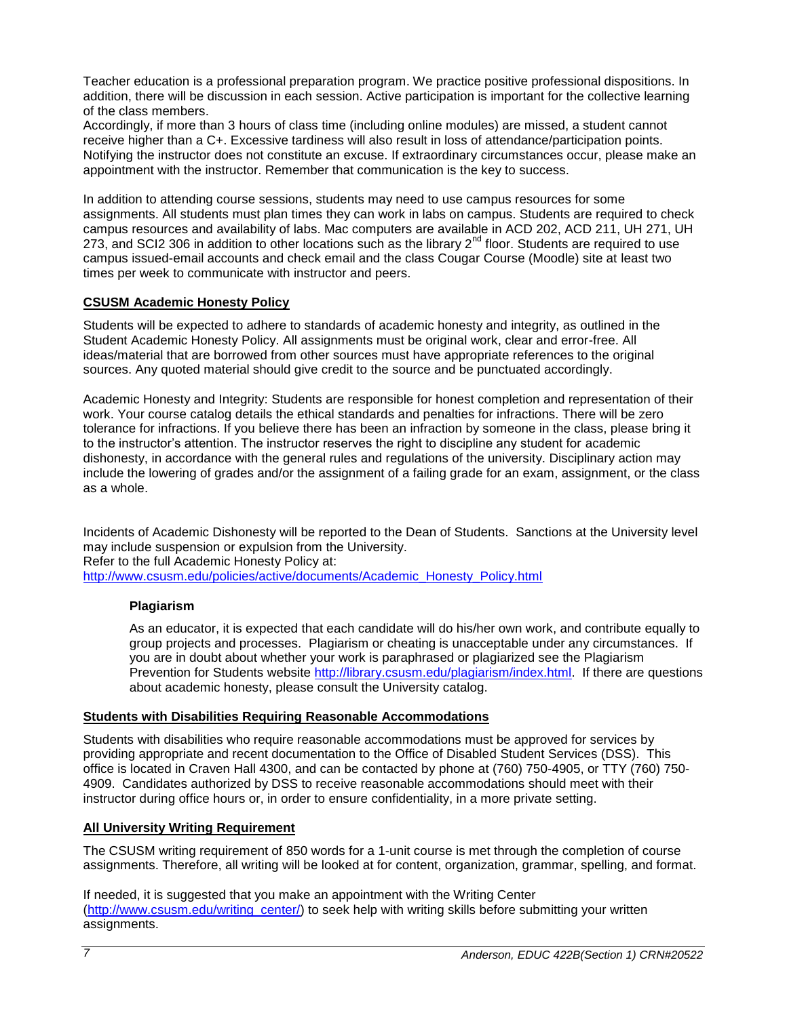Teacher education is a professional preparation program. We practice positive professional dispositions. In addition, there will be discussion in each session. Active participation is important for the collective learning of the class members.

Accordingly, if more than 3 hours of class time (including online modules) are missed, a student cannot receive higher than a C+. Excessive tardiness will also result in loss of attendance/participation points. Notifying the instructor does not constitute an excuse. If extraordinary circumstances occur, please make an appointment with the instructor. Remember that communication is the key to success.

In addition to attending course sessions, students may need to use campus resources for some assignments. All students must plan times they can work in labs on campus. Students are required to check campus resources and availability of labs. Mac computers are available in ACD 202, ACD 211, UH 271, UH 273, and SCI2 306 in addition to other locations such as the library 2<sup>nd</sup> floor. Students are required to use campus issued-email accounts and check email and the class Cougar Course (Moodle) site at least two times per week to communicate with instructor and peers.

# <span id="page-6-0"></span>**CSUSM Academic Honesty Policy**

Students will be expected to adhere to standards of academic honesty and integrity, as outlined in the Student Academic Honesty Policy. All assignments must be original work, clear and error-free. All ideas/material that are borrowed from other sources must have appropriate references to the original sources. Any quoted material should give credit to the source and be punctuated accordingly.

Academic Honesty and Integrity: Students are responsible for honest completion and representation of their work. Your course catalog details the ethical standards and penalties for infractions. There will be zero tolerance for infractions. If you believe there has been an infraction by someone in the class, please bring it to the instructor's attention. The instructor reserves the right to discipline any student for academic dishonesty, in accordance with the general rules and regulations of the university. Disciplinary action may include the lowering of grades and/or the assignment of a failing grade for an exam, assignment, or the class as a whole.

Incidents of Academic Dishonesty will be reported to the Dean of Students. Sanctions at the University level may include suspension or expulsion from the University. Refer to the full Academic Honesty Policy at: [http://www.csusm.edu/policies/active/documents/Academic\\_Honesty\\_Policy.html](http://www.csusm.edu/policies/active/documents/Academic_Honesty_Policy.html)

<span id="page-6-1"></span>

#### **Plagiarism**

As an educator, it is expected that each candidate will do his/her own work, and contribute equally to group projects and processes. Plagiarism or cheating is unacceptable under any circumstances. If you are in doubt about whether your work is paraphrased or plagiarized see the Plagiarism Prevention for Students website [http://library.csusm.edu/plagiarism/index.html.](http://library.csusm.edu/plagiarism/index.html) If there are questions about academic honesty, please consult the University catalog.

#### <span id="page-6-2"></span>**Students with Disabilities Requiring Reasonable Accommodations**

Students with disabilities who require reasonable accommodations must be approved for services by providing appropriate and recent documentation to the Office of Disabled Student Services (DSS). This office is located in Craven Hall 4300, and can be contacted by phone at (760) 750-4905, or TTY (760) 750- 4909. Candidates authorized by DSS to receive reasonable accommodations should meet with their instructor during office hours or, in order to ensure confidentiality, in a more private setting.

#### <span id="page-6-3"></span>**All University Writing Requirement**

The CSUSM writing requirement of 850 words for a 1-unit course is met through the completion of course assignments. Therefore, all writing will be looked at for content, organization, grammar, spelling, and format.

If needed, it is suggested that you make an appointment with the Writing Center [\(http://www.csusm.edu/writing\\_center/\)](http://www.csusm.edu/writing_center/) to seek help with writing skills before submitting your written assignments.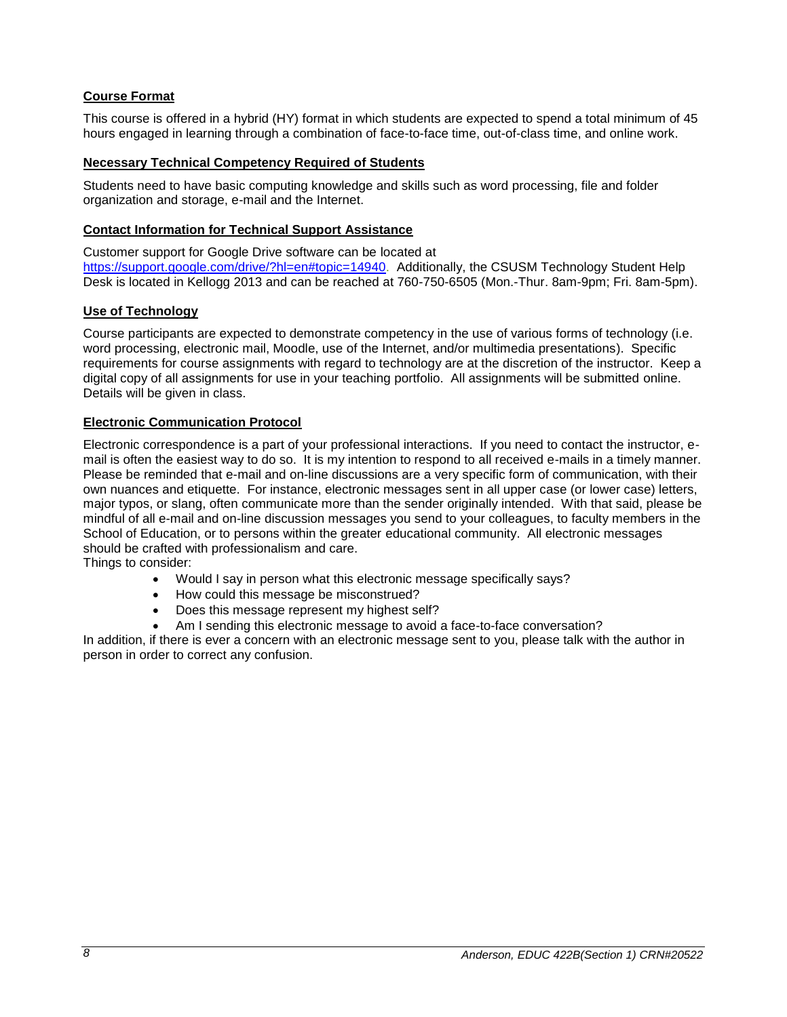# <span id="page-7-0"></span>**Course Format**

This course is offered in a hybrid (HY) format in which students are expected to spend a total minimum of 45 hours engaged in learning through a combination of face-to-face time, out-of-class time, and online work.

#### <span id="page-7-1"></span>**Necessary Technical Competency Required of Students**

Students need to have basic computing knowledge and skills such as word processing, file and folder organization and storage, e-mail and the Internet.

## <span id="page-7-2"></span>**Contact Information for Technical Support Assistance**

Customer support for Google Drive software can be located at

[https://support.google.com/drive/?hl=en#topic=14940.](https://support.google.com/drive/?hl=en#topic=14940) Additionally, the CSUSM Technology Student Help Desk is located in Kellogg 2013 and can be reached at 760-750-6505 (Mon.-Thur. 8am-9pm; Fri. 8am-5pm).

# <span id="page-7-3"></span>**Use of Technology**

Course participants are expected to demonstrate competency in the use of various forms of technology (i.e. word processing, electronic mail, Moodle, use of the Internet, and/or multimedia presentations). Specific requirements for course assignments with regard to technology are at the discretion of the instructor. Keep a digital copy of all assignments for use in your teaching portfolio. All assignments will be submitted online. Details will be given in class.

#### <span id="page-7-4"></span>**Electronic Communication Protocol**

Electronic correspondence is a part of your professional interactions. If you need to contact the instructor, email is often the easiest way to do so. It is my intention to respond to all received e-mails in a timely manner. Please be reminded that e-mail and on-line discussions are a very specific form of communication, with their own nuances and etiquette. For instance, electronic messages sent in all upper case (or lower case) letters, major typos, or slang, often communicate more than the sender originally intended. With that said, please be mindful of all e-mail and on-line discussion messages you send to your colleagues, to faculty members in the School of Education, or to persons within the greater educational community. All electronic messages should be crafted with professionalism and care.

Things to consider:

- Would I say in person what this electronic message specifically says?
- How could this message be misconstrued?
- Does this message represent my highest self?
- Am I sending this electronic message to avoid a face-to-face conversation?

In addition, if there is ever a concern with an electronic message sent to you, please talk with the author in person in order to correct any confusion.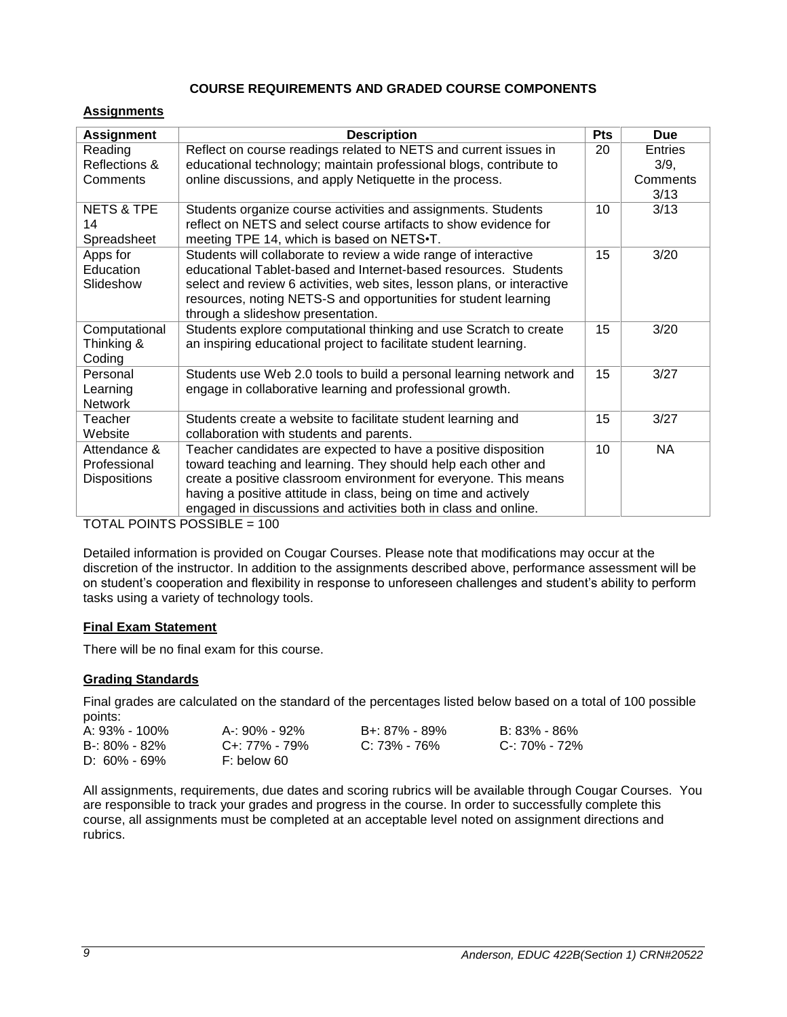# **COURSE REQUIREMENTS AND GRADED COURSE COMPONENTS**

#### <span id="page-8-1"></span><span id="page-8-0"></span>**Assignments**

| <b>Assignment</b>     | <b>Description</b>                                                                                                               | <b>Pts</b> | <b>Due</b>       |
|-----------------------|----------------------------------------------------------------------------------------------------------------------------------|------------|------------------|
| Reading               | Reflect on course readings related to NETS and current issues in                                                                 |            | <b>Entries</b>   |
| Reflections &         | educational technology; maintain professional blogs, contribute to                                                               |            | 3/9,             |
| Comments              | online discussions, and apply Netiquette in the process.                                                                         |            | Comments<br>3/13 |
| <b>NETS &amp; TPE</b> | Students organize course activities and assignments. Students                                                                    |            | 3/13             |
| 14                    | reflect on NETS and select course artifacts to show evidence for                                                                 |            |                  |
| Spreadsheet           | meeting TPE 14, which is based on NETS.T.                                                                                        |            |                  |
| Apps for              | Students will collaborate to review a wide range of interactive                                                                  | 15         | 3/20             |
| Education             | educational Tablet-based and Internet-based resources. Students                                                                  |            |                  |
| Slideshow             | select and review 6 activities, web sites, lesson plans, or interactive                                                          |            |                  |
|                       | resources, noting NETS-S and opportunities for student learning                                                                  |            |                  |
|                       | through a slideshow presentation.                                                                                                |            |                  |
| Computational         | Students explore computational thinking and use Scratch to create                                                                | 15         | 3/20             |
| Thinking &            | an inspiring educational project to facilitate student learning.                                                                 |            |                  |
| Coding<br>Personal    |                                                                                                                                  | 15         | 3/27             |
| Learning              | Students use Web 2.0 tools to build a personal learning network and<br>engage in collaborative learning and professional growth. |            |                  |
| <b>Network</b>        |                                                                                                                                  |            |                  |
| Teacher               | Students create a website to facilitate student learning and                                                                     |            | 3/27             |
| Website               | collaboration with students and parents.                                                                                         |            |                  |
| Attendance &          | Teacher candidates are expected to have a positive disposition                                                                   | 10         | <b>NA</b>        |
| Professional          | toward teaching and learning. They should help each other and                                                                    |            |                  |
| <b>Dispositions</b>   | create a positive classroom environment for everyone. This means                                                                 |            |                  |
|                       | having a positive attitude in class, being on time and actively                                                                  |            |                  |
|                       | engaged in discussions and activities both in class and online.                                                                  |            |                  |

TOTAL POINTS POSSIBLE = 100

Detailed information is provided on Cougar Courses. Please note that modifications may occur at the discretion of the instructor. In addition to the assignments described above, performance assessment will be on student's cooperation and flexibility in response to unforeseen challenges and student's ability to perform tasks using a variety of technology tools.

#### <span id="page-8-2"></span>**Final Exam Statement**

There will be no final exam for this course.

#### <span id="page-8-3"></span>**Grading Standards**

Final grades are calculated on the standard of the percentages listed below based on a total of 100 possible points:

| A: 93% - 100%     | A-: 90% - 92% | B+: 87% - 89% | B: 83% - 86%  |
|-------------------|---------------|---------------|---------------|
| $B - 80\% - 82\%$ | C+: 77% - 79% | C: 73% - 76%  | C-: 70% - 72% |
| $D: 60\% - 69\%$  | F: below 60   |               |               |

All assignments, requirements, due dates and scoring rubrics will be available through Cougar Courses. You are responsible to track your grades and progress in the course. In order to successfully complete this course, all assignments must be completed at an acceptable level noted on assignment directions and rubrics.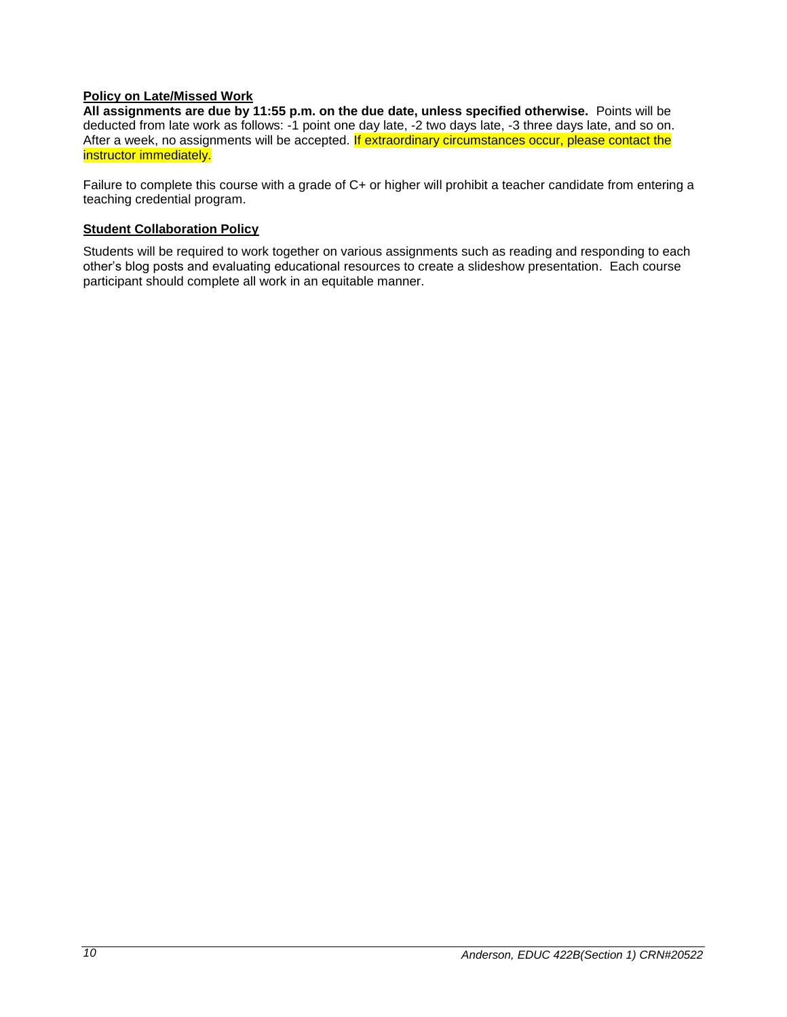#### **Policy on Late/Missed Work**

**All assignments are due by 11:55 p.m. on the due date, unless specified otherwise.** Points will be deducted from late work as follows: -1 point one day late, -2 two days late, -3 three days late, and so on. After a week, no assignments will be accepted. If extraordinary circumstances occur, please contact the instructor immediately.

Failure to complete this course with a grade of C+ or higher will prohibit a teacher candidate from entering a teaching credential program.

#### <span id="page-9-0"></span>**Student Collaboration Policy**

Students will be required to work together on various assignments such as reading and responding to each other's blog posts and evaluating educational resources to create a slideshow presentation. Each course participant should complete all work in an equitable manner.